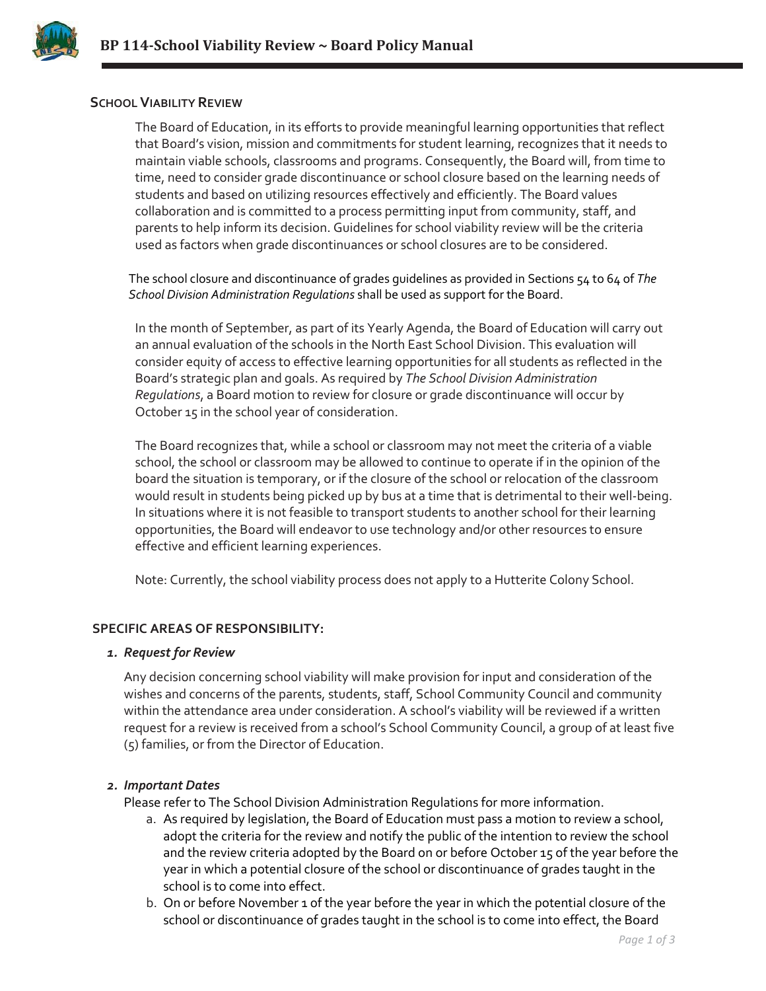

## **SCHOOL VIABILITY REVIEW**

The Board of Education, in its efforts to provide meaningful learning opportunities that reflect that Board's vision, mission and commitments for student learning, recognizes that it needs to maintain viable schools, classrooms and programs. Consequently, the Board will, from time to time, need to consider grade discontinuance or school closure based on the learning needs of students and based on utilizing resources effectively and efficiently. The Board values collaboration and is committed to a process permitting input from community, staff, and parents to help inform its decision. Guidelines for school viability review will be the criteria used as factors when grade discontinuances or school closures are to be considered.

The school closure and discontinuance of grades guidelines as provided in Sections 54 to 64 of *The School Division Administration Regulations* shall be used as support for the Board.

In the month of September, as part of its Yearly Agenda, the Board of Education will carry out an annual evaluation of the schools in the North East School Division. This evaluation will consider equity of access to effective learning opportunities for all students as reflected in the Board's strategic plan and goals. As required by *The School Division Administration Regulations*, a Board motion to review for closure or grade discontinuance will occur by October 15 in the school year of consideration.

The Board recognizes that, while a school or classroom may not meet the criteria of a viable school, the school or classroom may be allowed to continue to operate if in the opinion of the board the situation is temporary, or if the closure of the school or relocation of the classroom would result in students being picked up by bus at a time that is detrimental to their well-being. In situations where it is not feasible to transport students to another school for their learning opportunities, the Board will endeavor to use technology and/or other resources to ensure effective and efficient learning experiences.

Note: Currently, the school viability process does not apply to a Hutterite Colony School.

### **SPECIFIC AREAS OF RESPONSIBILITY:**

#### *1. Request for Review*

Any decision concerning school viability will make provision for input and consideration of the wishes and concerns of the parents, students, staff, School Community Council and community within the attendance area under consideration. A school's viability will be reviewed if a written request for a review is received from a school's School Community Council, a group of at least five (5) families, or from the Director of Education.

### *2. Important Dates*

Please refer to The School Division Administration Regulations for more information.

- a. As required by legislation, the Board of Education must pass a motion to review a school, adopt the criteria for the review and notify the public of the intention to review the school and the review criteria adopted by the Board on or before October 15 of the year before the year in which a potential closure of the school or discontinuance of grades taught in the school is to come into effect.
- b. On or before November 1 of the year before the year in which the potential closure of the school or discontinuance of grades taught in the school is to come into effect, the Board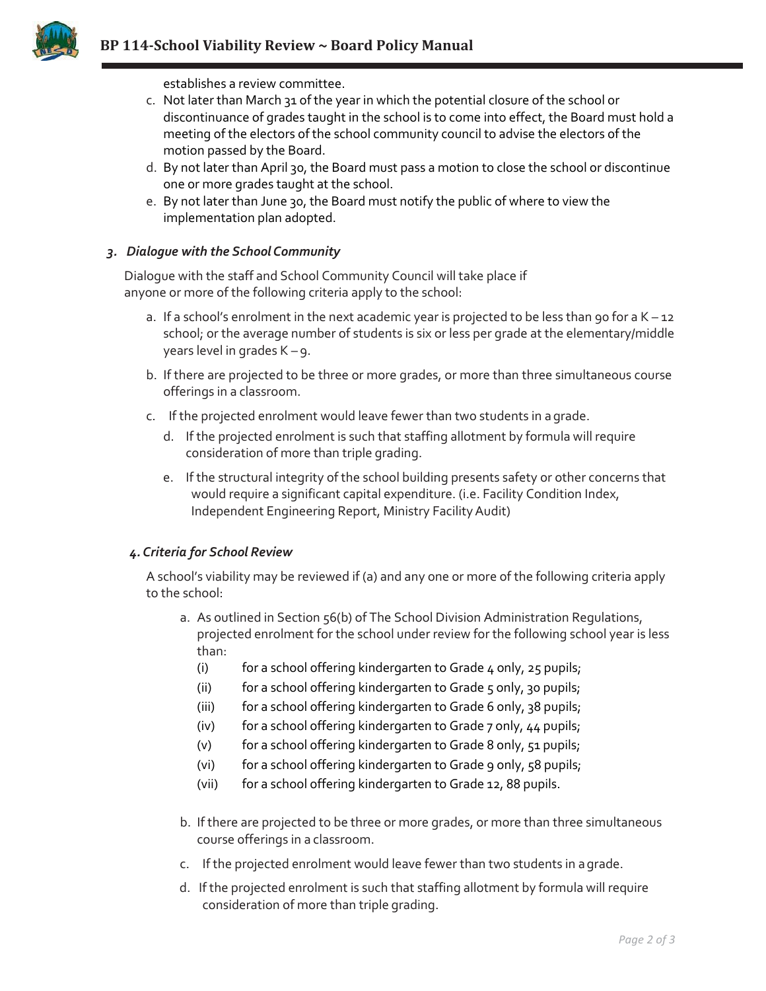

establishes a review committee.

- c. Not later than March 31 of the year in which the potential closure of the school or discontinuance of grades taught in the school is to come into effect, the Board must hold a meeting of the electors of the school community council to advise the electors of the motion passed by the Board.
- d. By not later than April 30, the Board must pass a motion to close the school or discontinue one or more grades taught at the school.
- e. By not later than June 30, the Board must notify the public of where to view the implementation plan adopted.

## *3. Dialogue with the SchoolCommunity*

Dialogue with the staff and School Community Council will take place if anyone or more of the following criteria apply to the school:

- a. If a school's enrolment in the next academic year is projected to be less than 90 for a  $K 12$ school; or the average number of students is six or less per grade at the elementary/middle years level in grades K – 9.
- b. If there are projected to be three or more grades, or more than three simultaneous course offerings in a classroom.
- c. If the projected enrolment would leave fewer than two students in agrade.
	- d. If the projected enrolment is such that staffing allotment by formula will require consideration of more than triple grading.
	- e. If the structural integrity of the school building presents safety or other concerns that would require a significant capital expenditure. (i.e. Facility Condition Index, Independent Engineering Report, Ministry FacilityAudit)

### *4. Criteria for School Review*

A school's viability may be reviewed if (a) and any one or more of the following criteria apply to the school:

- a. As outlined in Section 56(b) of The School Division Administration Regulations, projected enrolment for the school under review for the following school year is less than:
	- (i) for a school offering kindergarten to Grade  $4$  only,  $25$  pupils;
	- (ii) for a school offering kindergarten to Grade 5 only, 30 pupils;
	- (iii) for a school offering kindergarten to Grade 6 only, 38 pupils;
	- (iv) for a school offering kindergarten to Grade 7 only, 44 pupils;
	- (v) for a school offering kindergarten to Grade 8 only, 51 pupils;
	- (vi) for a school offering kindergarten to Grade 9 only, 58 pupils;
	- (vii) for a school offering kindergarten to Grade 12, 88 pupils.
- b. If there are projected to be three or more grades, or more than three simultaneous course offerings in a classroom.
- c. If the projected enrolment would leave fewer than two students in agrade.
- d. If the projected enrolment is such that staffing allotment by formula will require consideration of more than triple grading.